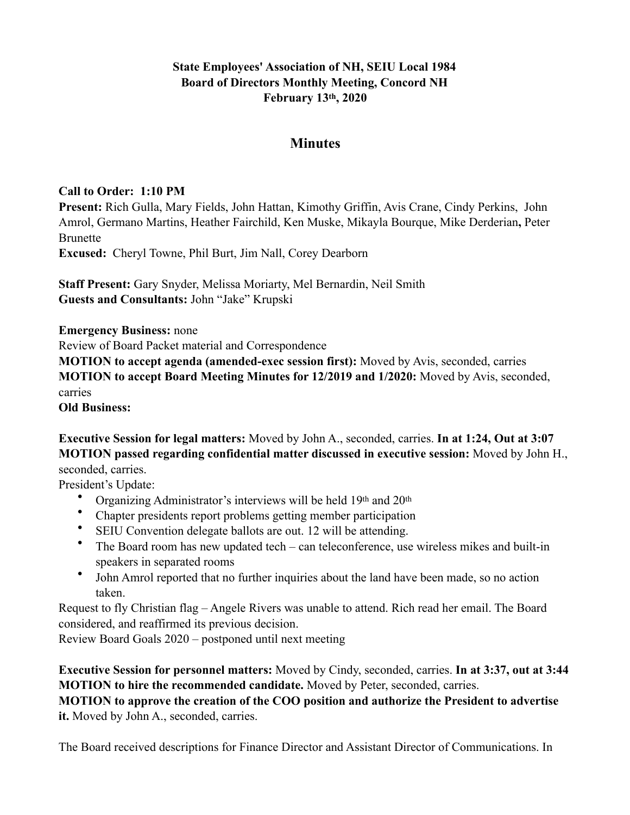## **State Employees' Association of NH, SEIU Local 1984 Board of Directors Monthly Meeting, Concord NH February 13th, 2020**

# **Minutes**

#### **Call to Order: 1:10 PM**

**Present:** Rich Gulla, Mary Fields, John Hattan, Kimothy Griffin, Avis Crane, Cindy Perkins, John Amrol, Germano Martins, Heather Fairchild, Ken Muske, Mikayla Bourque, Mike Derderian**,** Peter **Brunette** 

**Excused:** Cheryl Towne, Phil Burt, Jim Nall, Corey Dearborn

**Staff Present:** Gary Snyder, Melissa Moriarty, Mel Bernardin, Neil Smith **Guests and Consultants:** John "Jake" Krupski

**Emergency Business:** none

Review of Board Packet material and Correspondence

**MOTION to accept agenda (amended-exec session first):** Moved by Avis, seconded, carries **MOTION to accept Board Meeting Minutes for 12/2019 and 1/2020:** Moved by Avis, seconded, carries

**Old Business:**

**Executive Session for legal matters:** Moved by John A., seconded, carries. **In at 1:24, Out at 3:07 MOTION passed regarding confidential matter discussed in executive session:** Moved by John H., seconded, carries.

President's Update:

- Organizing Administrator's interviews will be held 19th and 20th
- Chapter presidents report problems getting member participation
- SEIU Convention delegate ballots are out. 12 will be attending.
- The Board room has new updated tech can teleconference, use wireless mikes and built-in speakers in separated rooms
- John Amrol reported that no further inquiries about the land have been made, so no action taken.

Request to fly Christian flag – Angele Rivers was unable to attend. Rich read her email. The Board considered, and reaffirmed its previous decision.

Review Board Goals 2020 – postponed until next meeting

**Executive Session for personnel matters:** Moved by Cindy, seconded, carries. **In at 3:37, out at 3:44 MOTION to hire the recommended candidate.** Moved by Peter, seconded, carries.

**MOTION to approve the creation of the COO position and authorize the President to advertise it.** Moved by John A., seconded, carries.

The Board received descriptions for Finance Director and Assistant Director of Communications. In